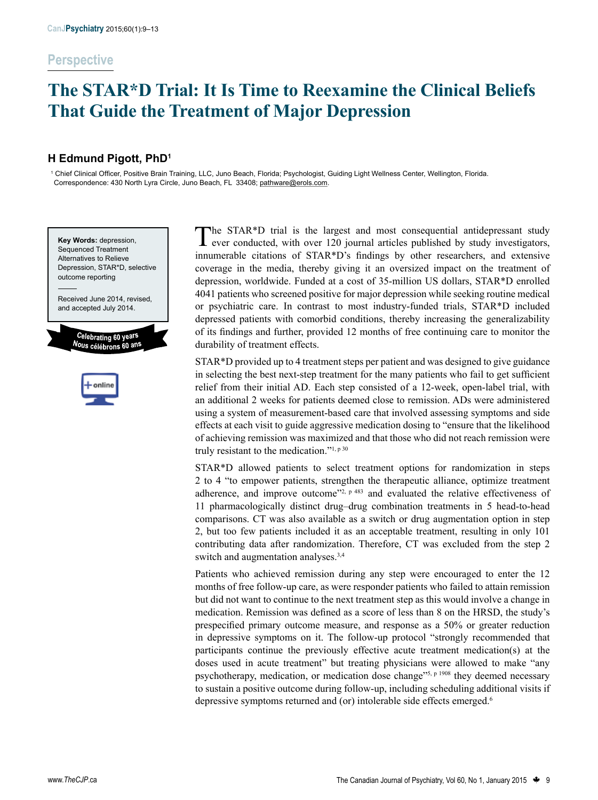# **The STAR\*D Trial: It Is Time to Reexamine the Clinical Beliefs That Guide the Treatment of Major Depression**

# **H Edmund Pigott, PhD1**

1 Chief Clinical Officer, Positive Brain Training, LLC, Juno Beach, Florida; Psychologist, Guiding Light Wellness Center, Wellington, Florida. Correspondence: 430 North Lyra Circle, Juno Beach, FL 33408; pathware@erols.com.





The STAR<sup>\*</sup>D trial is the largest and most consequential antidepressant study **L** ever conducted, with over 120 journal articles published by study investigators, innumerable citations of STAR\*D's findings by other researchers, and extensive coverage in the media, thereby giving it an oversized impact on the treatment of depression, worldwide. Funded at a cost of 35-million US dollars, STAR\*D enrolled 4041 patients who screened positive for major depression while seeking routine medical or psychiatric care. In contrast to most industry-funded trials, STAR\*D included depressed patients with comorbid conditions, thereby increasing the generalizability of its findings and further, provided 12 months of free continuing care to monitor the durability of treatment effects.

STAR\*D provided up to 4 treatment steps per patient and was designed to give guidance in selecting the best next-step treatment for the many patients who fail to get sufficient relief from their initial AD. Each step consisted of a 12-week, open-label trial, with an additional 2 weeks for patients deemed close to remission. ADs were administered using a system of measurement-based care that involved assessing symptoms and side effects at each visit to guide aggressive medication dosing to "ensure that the likelihood of achieving remission was maximized and that those who did not reach remission were truly resistant to the medication."<sup>1, p 30</sup>

STAR\*D allowed patients to select treatment options for randomization in steps 2 to 4 "to empower patients, strengthen the therapeutic alliance, optimize treatment adherence, and improve outcome<sup> $22$ , p 483</sup> and evaluated the relative effectiveness of 11 pharmacologically distinct drug–drug combination treatments in 5 head-to-head comparisons. CT was also available as a switch or drug augmentation option in step 2, but too few patients included it as an acceptable treatment, resulting in only 101 contributing data after randomization. Therefore, CT was excluded from the step 2 switch and augmentation analyses.<sup>3,4</sup>

Patients who achieved remission during any step were encouraged to enter the 12 months of free follow-up care, as were responder patients who failed to attain remission but did not want to continue to the next treatment step as this would involve a change in medication. Remission was defined as a score of less than 8 on the HRSD, the study's prespecified primary outcome measure, and response as a 50% or greater reduction in depressive symptoms on it. The follow-up protocol "strongly recommended that participants continue the previously effective acute treatment medication(s) at the doses used in acute treatment" but treating physicians were allowed to make "any psychotherapy, medication, or medication dose change"<sup>5, p 1908</sup> they deemed necessary to sustain a positive outcome during follow-up, including scheduling additional visits if depressive symptoms returned and (or) intolerable side effects emerged.6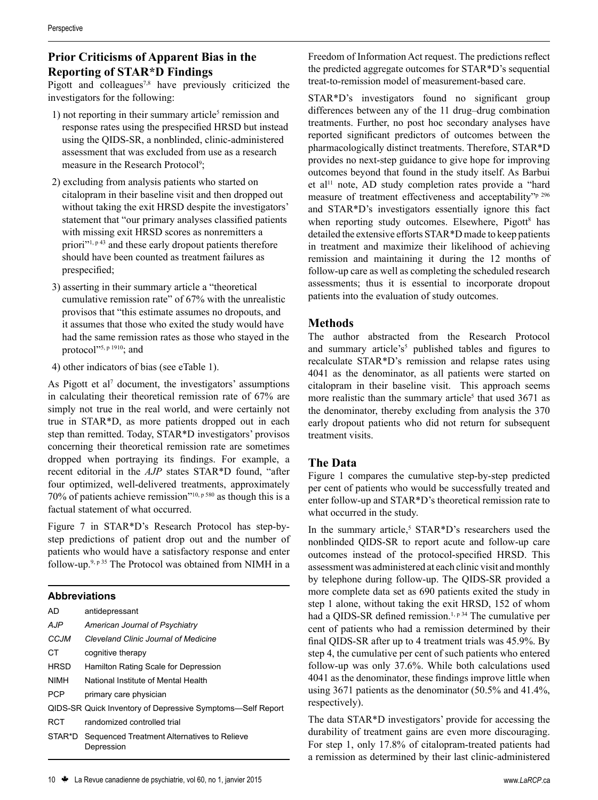# **Prior Criticisms of Apparent Bias in the Reporting of STAR\*D Findings**

Pigott and colleagues<sup>7,8</sup> have previously criticized the investigators for the following:

- 1) not reporting in their summary article<sup>5</sup> remission and response rates using the prespecified HRSD but instead using the QIDS-SR, a nonblinded, clinic-administered assessment that was excluded from use as a research measure in the Research Protocol<sup>9</sup>;
- 2) excluding from analysis patients who started on citalopram in their baseline visit and then dropped out without taking the exit HRSD despite the investigators' statement that "our primary analyses classified patients with missing exit HRSD scores as nonremitters a priori<sup>"1, p 43</sup> and these early dropout patients therefore should have been counted as treatment failures as prespecified;
- 3) asserting in their summary article a "theoretical cumulative remission rate" of 67% with the unrealistic provisos that "this estimate assumes no dropouts, and it assumes that those who exited the study would have had the same remission rates as those who stayed in the protocol"<sup>5, p 1910</sup>; and
- 4) other indicators of bias (see eTable 1).

As Pigott et al<sup>7</sup> document, the investigators' assumptions in calculating their theoretical remission rate of 67% are simply not true in the real world, and were certainly not true in STAR\*D, as more patients dropped out in each step than remitted. Today, STAR\*D investigators' provisos concerning their theoretical remission rate are sometimes dropped when portraying its findings. For example, a recent editorial in the *AJP* states STAR\*D found, "after four optimized, well-delivered treatments, approximately 70% of patients achieve remission"10, p 580 as though this is a factual statement of what occurred.

Figure 7 in STAR\*D's Research Protocol has step-bystep predictions of patient drop out and the number of patients who would have a satisfactory response and enter follow-up.9, p 35 The Protocol was obtained from NIMH in a

#### **Abbreviations**

| <b>AD</b>   | antidepressant                                                   |
|-------------|------------------------------------------------------------------|
| <b>AJP</b>  | American Journal of Psychiatry                                   |
| CC.IM       | Cleveland Clinic Journal of Medicine                             |
| СT          | cognitive therapy                                                |
| <b>HRSD</b> | Hamilton Rating Scale for Depression                             |
| <b>NIMH</b> | National Institute of Mental Health                              |
| <b>PCP</b>  | primary care physician                                           |
|             | QIDS-SR Quick Inventory of Depressive Symptoms—Self Report       |
| RCT.        | randomized controlled trial                                      |
|             | STAR*D Sequenced Treatment Alternatives to Relieve<br>Depression |

outcomes beyond that found in the study itself. As Barbui

et al<sup>11</sup> note, AD study completion rates provide a "hard measure of treatment effectiveness and acceptability"p 296 and STAR\*D's investigators essentially ignore this fact when reporting study outcomes. Elsewhere, Pigott<sup>8</sup> has detailed the extensive efforts STAR\*D made to keep patients in treatment and maximize their likelihood of achieving remission and maintaining it during the 12 months of follow-up care as well as completing the scheduled research assessments; thus it is essential to incorporate dropout patients into the evaluation of study outcomes.

Freedom of Information Act request. The predictions reflect the predicted aggregate outcomes for STAR\*D's sequential treat-to-remission model of measurement-based care.

STAR\*D's investigators found no significant group differences between any of the 11 drug–drug combination treatments. Further, no post hoc secondary analyses have reported significant predictors of outcomes between the pharmacologically distinct treatments. Therefore, STAR\*D provides no next-step guidance to give hope for improving

## **Methods**

The author abstracted from the Research Protocol and summary article's<sup>5</sup> published tables and figures to recalculate STAR\*D's remission and relapse rates using 4041 as the denominator, as all patients were started on citalopram in their baseline visit. This approach seems more realistic than the summary article<sup>5</sup> that used  $3671$  as the denominator, thereby excluding from analysis the 370 early dropout patients who did not return for subsequent treatment visits.

## **The Data**

Figure 1 compares the cumulative step-by-step predicted per cent of patients who would be successfully treated and enter follow-up and STAR\*D's theoretical remission rate to what occurred in the study.

In the summary article,<sup>5</sup> STAR\*D's researchers used the nonblinded QIDS-SR to report acute and follow-up care outcomes instead of the protocol-specified HRSD. This assessment was administered at each clinic visit and monthly by telephone during follow-up. The QIDS-SR provided a more complete data set as 690 patients exited the study in step 1 alone, without taking the exit HRSD, 152 of whom had a QIDS-SR defined remission.<sup>1, p 34</sup> The cumulative per cent of patients who had a remission determined by their final QIDS-SR after up to 4 treatment trials was 45.9%. By step 4, the cumulative per cent of such patients who entered follow-up was only 37.6%. While both calculations used 4041 as the denominator, these findings improve little when using 3671 patients as the denominator (50.5% and 41.4%, respectively).

The data STAR\*D investigators' provide for accessing the durability of treatment gains are even more discouraging. For step 1, only 17.8% of citalopram-treated patients had a remission as determined by their last clinic-administered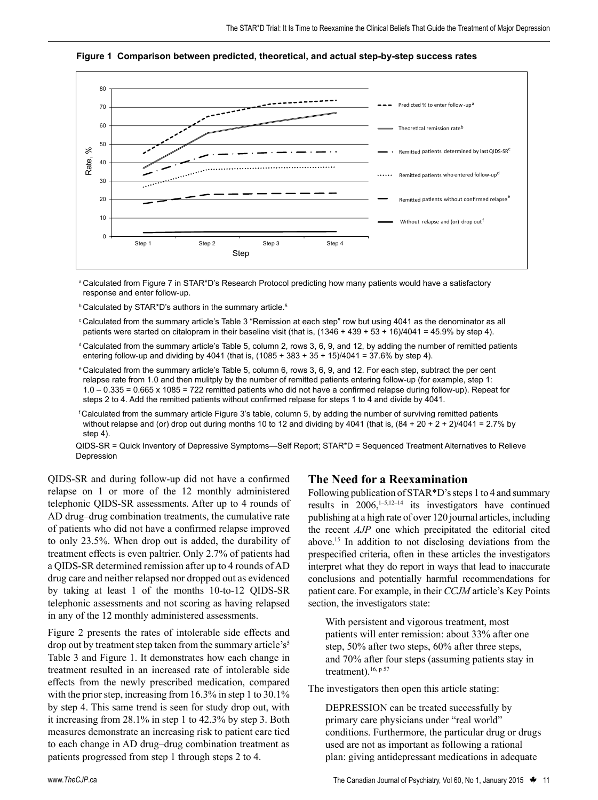

**Figure 1 Comparison between predicted, theoretical, and actual step-by-step success rates**

- aCalculated from Figure 7 in STAR\*D's Research Protocol predicting how many patients would have a satisfactory response and enter follow-up.
- **b** Calculated by STAR\*D's authors in the summary article.<sup>5</sup>
- <sup>c</sup> Calculated from the summary article's Table 3 "Remission at each step" row but using 4041 as the denominator as all patients were started on citalopram in their baseline visit (that is, (1346 + 439 + 53 + 16)/4041 = 45.9% by step 4).
- $dC$ calculated from the summary article's Table 5, column 2, rows 3, 6, 9, and 12, by adding the number of remitted patients entering follow-up and dividing by 4041 (that is, (1085 + 383 + 35 + 15)/4041 = 37.6% by step 4).
- <sup>e</sup>Calculated from the summary article's Table 5, column 6, rows 3, 6, 9, and 12. For each step, subtract the per cent relapse rate from 1.0 and then mulitply by the number of remitted patients entering follow-up (for example, step 1: 1.0 – 0.335 = 0.665 x 1085 = 722 remitted patients who did not have a confirmed relapse during follow-up). Repeat for steps 2 to 4. Add the remitted patients without confirmed relpase for steps 1 to 4 and divide by 4041.
- <sup>f</sup>Calculated from the summary article Figure 3's table, column 5, by adding the number of surviving remitted patients without relapse and (or) drop out during months 10 to 12 and dividing by 4041 (that is,  $(84 + 20 + 2 + 2)/4041 = 2.7\%$  by step 4).
- QIDS-SR = Quick Inventory of Depressive Symptoms—Self Report; STAR\*D = Sequenced Treatment Alternatives to Relieve Depression

QIDS-SR and during follow-up did not have a confirmed relapse on 1 or more of the 12 monthly administered telephonic QIDS-SR assessments. After up to 4 rounds of AD drug–drug combination treatments, the cumulative rate of patients who did not have a confirmed relapse improved to only 23.5%. When drop out is added, the durability of treatment effects is even paltrier. Only 2.7% of patients had a QIDS-SR determined remission after up to 4 rounds of AD drug care and neither relapsed nor dropped out as evidenced by taking at least 1 of the months 10-to-12 QIDS-SR telephonic assessments and not scoring as having relapsed in any of the 12 monthly administered assessments.

Figure 2 presents the rates of intolerable side effects and drop out by treatment step taken from the summary article's<sup>5</sup> Table 3 and Figure 1. It demonstrates how each change in treatment resulted in an increased rate of intolerable side effects from the newly prescribed medication, compared with the prior step, increasing from 16.3% in step 1 to 30.1% by step 4. This same trend is seen for study drop out, with it increasing from 28.1% in step 1 to 42.3% by step 3. Both measures demonstrate an increasing risk to patient care tied to each change in AD drug–drug combination treatment as patients progressed from step 1 through steps 2 to 4.

#### **The Need for a Reexamination**

Following publication of STAR\*D's steps 1 to 4 and summary results in  $2006$ ,<sup>1-5,12-14</sup> its investigators have continued publishing at a high rate of over 120 journal articles, including the recent *AJP* one which precipitated the editorial cited above.15 In addition to not disclosing deviations from the prespecified criteria, often in these articles the investigators interpret what they do report in ways that lead to inaccurate conclusions and potentially harmful recommendations for patient care. For example, in their *CCJM* article's Key Points section, the investigators state:

With persistent and vigorous treatment, most patients will enter remission: about 33% after one step, 50% after two steps, 60% after three steps, and 70% after four steps (assuming patients stay in treatment).<sup>16, p 57</sup>

The investigators then open this article stating:

DEPRESSION can be treated successfully by primary care physicians under "real world" conditions. Furthermore, the particular drug or drugs used are not as important as following a rational plan: giving antidepressant medications in adequate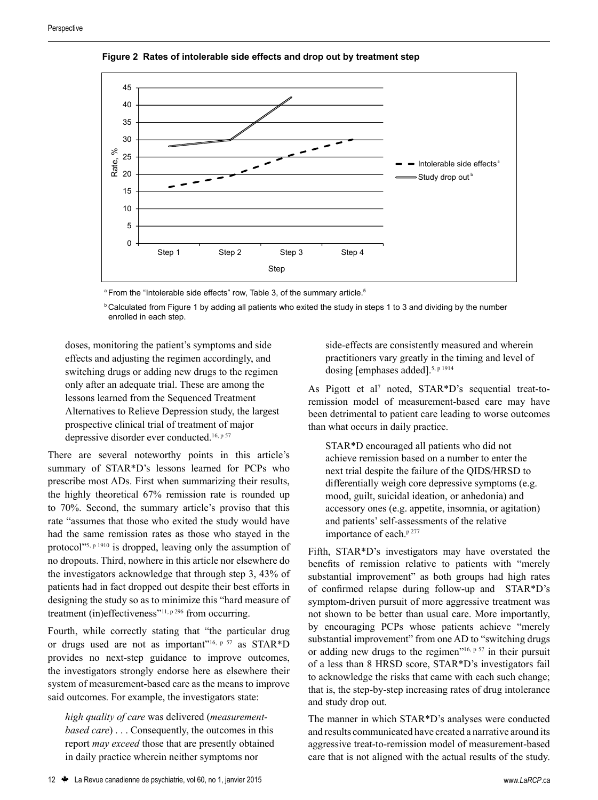

**Figure 2 Rates of intolerable side effects and drop out by treatment step**

<sup>a</sup> From the "Intolerable side effects" row, Table 3, of the summary article.<sup>5</sup>

**bCalculated from Figure 1 by adding all patients who exited the study in steps 1 to 3 and dividing by the number** enrolled in each step.

doses, monitoring the patient's symptoms and side effects and adjusting the regimen accordingly, and switching drugs or adding new drugs to the regimen only after an adequate trial. These are among the lessons learned from the Sequenced Treatment Alternatives to Relieve Depression study, the largest prospective clinical trial of treatment of major depressive disorder ever conducted.<sup>16, p 57</sup>

There are several noteworthy points in this article's summary of STAR\*D's lessons learned for PCPs who prescribe most ADs. First when summarizing their results, the highly theoretical 67% remission rate is rounded up to 70%. Second, the summary article's proviso that this rate "assumes that those who exited the study would have had the same remission rates as those who stayed in the protocol"<sup>5, p 1910</sup> is dropped, leaving only the assumption of no dropouts. Third, nowhere in this article nor elsewhere do the investigators acknowledge that through step 3, 43% of patients had in fact dropped out despite their best efforts in designing the study so as to minimize this "hard measure of treatment (in)effectiveness<sup>"11, p 296</sup> from occurring.

Fourth, while correctly stating that "the particular drug or drugs used are not as important"<sup>16, p 57</sup> as STAR\*D provides no next-step guidance to improve outcomes, the investigators strongly endorse here as elsewhere their system of measurement-based care as the means to improve said outcomes. For example, the investigators state:

*high quality of care* was delivered (*measurementbased care*) . . . Consequently, the outcomes in this report *may exceed* those that are presently obtained in daily practice wherein neither symptoms nor

side-effects are consistently measured and wherein practitioners vary greatly in the timing and level of dosing [emphases added].5, p 1914

As Pigott et al<sup>7</sup> noted, STAR\*D's sequential treat-toremission model of measurement-based care may have been detrimental to patient care leading to worse outcomes than what occurs in daily practice.

STAR\*D encouraged all patients who did not achieve remission based on a number to enter the next trial despite the failure of the QIDS/HRSD to differentially weigh core depressive symptoms (e.g. mood, guilt, suicidal ideation, or anhedonia) and accessory ones (e.g. appetite, insomnia, or agitation) and patients' self-assessments of the relative importance of each.<sup>p 277</sup>

Fifth, STAR\*D's investigators may have overstated the benefits of remission relative to patients with "merely substantial improvement" as both groups had high rates of confirmed relapse during follow-up and STAR\*D's symptom-driven pursuit of more aggressive treatment was not shown to be better than usual care. More importantly, by encouraging PCPs whose patients achieve "merely substantial improvement" from one AD to "switching drugs" or adding new drugs to the regimen<sup> $16, p 57$ </sup> in their pursuit of a less than 8 HRSD score, STAR\*D's investigators fail to acknowledge the risks that came with each such change; that is, the step-by-step increasing rates of drug intolerance and study drop out.

The manner in which STAR\*D's analyses were conducted and results communicated have created a narrative around its aggressive treat-to-remission model of measurement-based care that is not aligned with the actual results of the study.